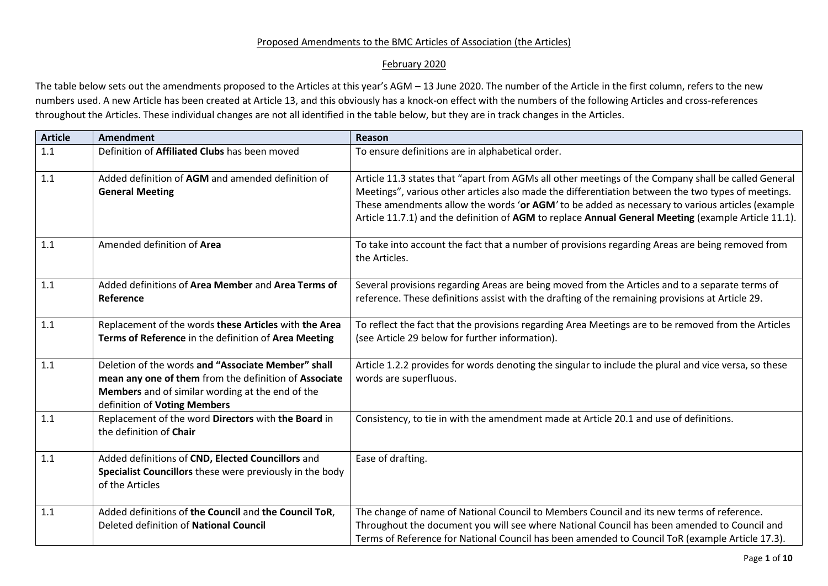## Proposed Amendments to the BMC Articles of Association (the Articles)

## February 2020

The table below sets out the amendments proposed to the Articles at this year's AGM – 13 June 2020. The number of the Article in the first column, refers to the new numbers used. A new Article has been created at Article 13, and this obviously has a knock-on effect with the numbers of the following Articles and cross-references throughout the Articles. These individual changes are not all identified in the table below, but they are in track changes in the Articles.

| <b>Article</b> | <b>Amendment</b>                                                               | Reason                                                                                                |
|----------------|--------------------------------------------------------------------------------|-------------------------------------------------------------------------------------------------------|
| 1.1            | Definition of Affiliated Clubs has been moved                                  | To ensure definitions are in alphabetical order.                                                      |
| 1.1            | Added definition of AGM and amended definition of                              | Article 11.3 states that "apart from AGMs all other meetings of the Company shall be called General   |
|                | <b>General Meeting</b>                                                         | Meetings", various other articles also made the differentiation between the two types of meetings.    |
|                |                                                                                | These amendments allow the words 'or AGM' to be added as necessary to various articles (example       |
|                |                                                                                | Article 11.7.1) and the definition of AGM to replace Annual General Meeting (example Article 11.1).   |
| 1.1            | Amended definition of Area                                                     | To take into account the fact that a number of provisions regarding Areas are being removed from      |
|                |                                                                                | the Articles.                                                                                         |
|                |                                                                                |                                                                                                       |
| 1.1            | Added definitions of Area Member and Area Terms of                             | Several provisions regarding Areas are being moved from the Articles and to a separate terms of       |
|                | Reference                                                                      | reference. These definitions assist with the drafting of the remaining provisions at Article 29.      |
| 1.1            | Replacement of the words these Articles with the Area                          | To reflect the fact that the provisions regarding Area Meetings are to be removed from the Articles   |
|                | Terms of Reference in the definition of Area Meeting                           | (see Article 29 below for further information).                                                       |
|                |                                                                                |                                                                                                       |
| 1.1            | Deletion of the words and "Associate Member" shall                             | Article 1.2.2 provides for words denoting the singular to include the plural and vice versa, so these |
|                | mean any one of them from the definition of Associate                          | words are superfluous.                                                                                |
|                | Members and of similar wording at the end of the                               |                                                                                                       |
|                | definition of Voting Members                                                   |                                                                                                       |
| 1.1            | Replacement of the word Directors with the Board in<br>the definition of Chair | Consistency, to tie in with the amendment made at Article 20.1 and use of definitions.                |
|                |                                                                                |                                                                                                       |
| 1.1            | Added definitions of CND, Elected Councillors and                              | Ease of drafting.                                                                                     |
|                | Specialist Councillors these were previously in the body                       |                                                                                                       |
|                | of the Articles                                                                |                                                                                                       |
|                |                                                                                |                                                                                                       |
| 1.1            | Added definitions of the Council and the Council ToR,                          | The change of name of National Council to Members Council and its new terms of reference.             |
|                | Deleted definition of National Council                                         | Throughout the document you will see where National Council has been amended to Council and           |
|                |                                                                                | Terms of Reference for National Council has been amended to Council ToR (example Article 17.3).       |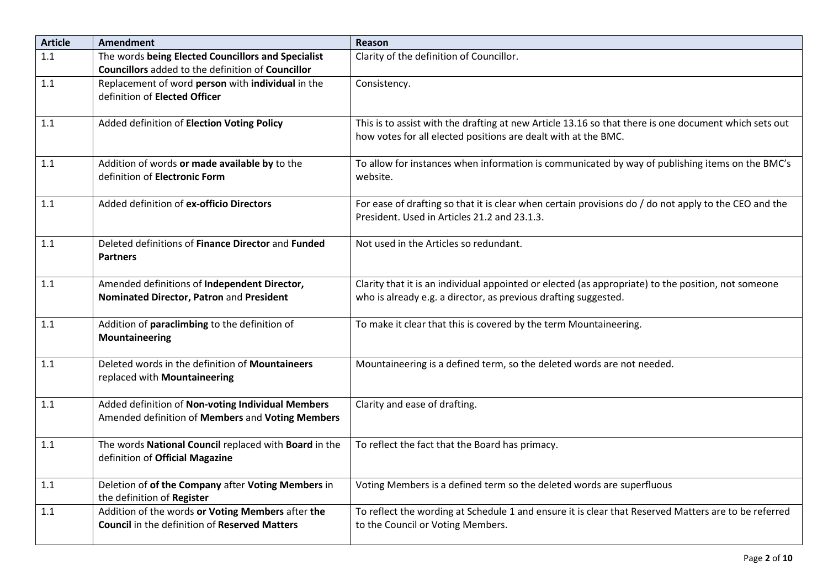| <b>Article</b> | <b>Amendment</b>                                                                                          | Reason                                                                                                                                                                  |
|----------------|-----------------------------------------------------------------------------------------------------------|-------------------------------------------------------------------------------------------------------------------------------------------------------------------------|
| 1.1            | The words being Elected Councillors and Specialist<br>Councillors added to the definition of Councillor   | Clarity of the definition of Councillor.                                                                                                                                |
| 1.1            | Replacement of word person with individual in the<br>definition of Elected Officer                        | Consistency.                                                                                                                                                            |
| 1.1            | Added definition of Election Voting Policy                                                                | This is to assist with the drafting at new Article 13.16 so that there is one document which sets out<br>how votes for all elected positions are dealt with at the BMC. |
| 1.1            | Addition of words or made available by to the<br>definition of Electronic Form                            | To allow for instances when information is communicated by way of publishing items on the BMC's<br>website.                                                             |
| 1.1            | Added definition of ex-officio Directors                                                                  | For ease of drafting so that it is clear when certain provisions do / do not apply to the CEO and the<br>President. Used in Articles 21.2 and 23.1.3.                   |
| 1.1            | Deleted definitions of Finance Director and Funded<br><b>Partners</b>                                     | Not used in the Articles so redundant.                                                                                                                                  |
| 1.1            | Amended definitions of Independent Director,<br>Nominated Director, Patron and President                  | Clarity that it is an individual appointed or elected (as appropriate) to the position, not someone<br>who is already e.g. a director, as previous drafting suggested.  |
| 1.1            | Addition of paraclimbing to the definition of<br>Mountaineering                                           | To make it clear that this is covered by the term Mountaineering.                                                                                                       |
| 1.1            | Deleted words in the definition of Mountaineers<br>replaced with Mountaineering                           | Mountaineering is a defined term, so the deleted words are not needed.                                                                                                  |
| 1.1            | Added definition of Non-voting Individual Members<br>Amended definition of Members and Voting Members     | Clarity and ease of drafting.                                                                                                                                           |
| 1.1            | The words National Council replaced with Board in the<br>definition of Official Magazine                  | To reflect the fact that the Board has primacy.                                                                                                                         |
| 1.1            | Deletion of of the Company after Voting Members in<br>the definition of Register                          | Voting Members is a defined term so the deleted words are superfluous                                                                                                   |
| 1.1            | Addition of the words or Voting Members after the<br><b>Council</b> in the definition of Reserved Matters | To reflect the wording at Schedule 1 and ensure it is clear that Reserved Matters are to be referred<br>to the Council or Voting Members.                               |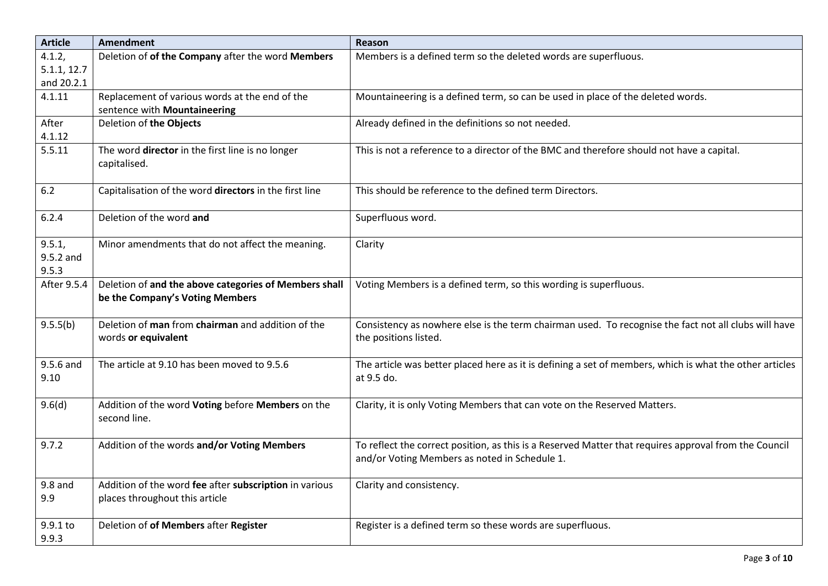| <b>Article</b> | <b>Amendment</b>                                                         | Reason                                                                                                                        |
|----------------|--------------------------------------------------------------------------|-------------------------------------------------------------------------------------------------------------------------------|
| 4.1.2,         | Deletion of of the Company after the word Members                        | Members is a defined term so the deleted words are superfluous.                                                               |
| 5.1.1, 12.7    |                                                                          |                                                                                                                               |
| and 20.2.1     |                                                                          |                                                                                                                               |
| 4.1.11         | Replacement of various words at the end of the                           | Mountaineering is a defined term, so can be used in place of the deleted words.                                               |
|                | sentence with Mountaineering                                             |                                                                                                                               |
| After          | Deletion of the Objects                                                  | Already defined in the definitions so not needed.                                                                             |
| 4.1.12         |                                                                          |                                                                                                                               |
| 5.5.11         | The word director in the first line is no longer<br>capitalised.         | This is not a reference to a director of the BMC and therefore should not have a capital.                                     |
| $6.2$          | Capitalisation of the word directors in the first line                   | This should be reference to the defined term Directors.                                                                       |
| 6.2.4          | Deletion of the word and                                                 | Superfluous word.                                                                                                             |
| 9.5.1,         | Minor amendments that do not affect the meaning.                         | Clarity                                                                                                                       |
| 9.5.2 and      |                                                                          |                                                                                                                               |
| 9.5.3          |                                                                          |                                                                                                                               |
| After 9.5.4    | Deletion of and the above categories of Members shall                    | Voting Members is a defined term, so this wording is superfluous.                                                             |
|                | be the Company's Voting Members                                          |                                                                                                                               |
| 9.5.5(b)       | Deletion of man from chairman and addition of the<br>words or equivalent | Consistency as nowhere else is the term chairman used. To recognise the fact not all clubs will have<br>the positions listed. |
|                |                                                                          |                                                                                                                               |
| 9.5.6 and      | The article at 9.10 has been moved to 9.5.6                              | The article was better placed here as it is defining a set of members, which is what the other articles                       |
| 9.10           |                                                                          | at 9.5 do.                                                                                                                    |
|                |                                                                          |                                                                                                                               |
| 9.6(d)         | Addition of the word Voting before Members on the                        | Clarity, it is only Voting Members that can vote on the Reserved Matters.                                                     |
|                | second line.                                                             |                                                                                                                               |
| 9.7.2          | Addition of the words and/or Voting Members                              | To reflect the correct position, as this is a Reserved Matter that requires approval from the Council                         |
|                |                                                                          | and/or Voting Members as noted in Schedule 1.                                                                                 |
|                |                                                                          |                                                                                                                               |
| $9.8$ and      | Addition of the word fee after subscription in various                   | Clarity and consistency.                                                                                                      |
| 9.9            | places throughout this article                                           |                                                                                                                               |
|                |                                                                          |                                                                                                                               |
| 9.9.1 to       | Deletion of of Members after Register                                    | Register is a defined term so these words are superfluous.                                                                    |
| 9.9.3          |                                                                          |                                                                                                                               |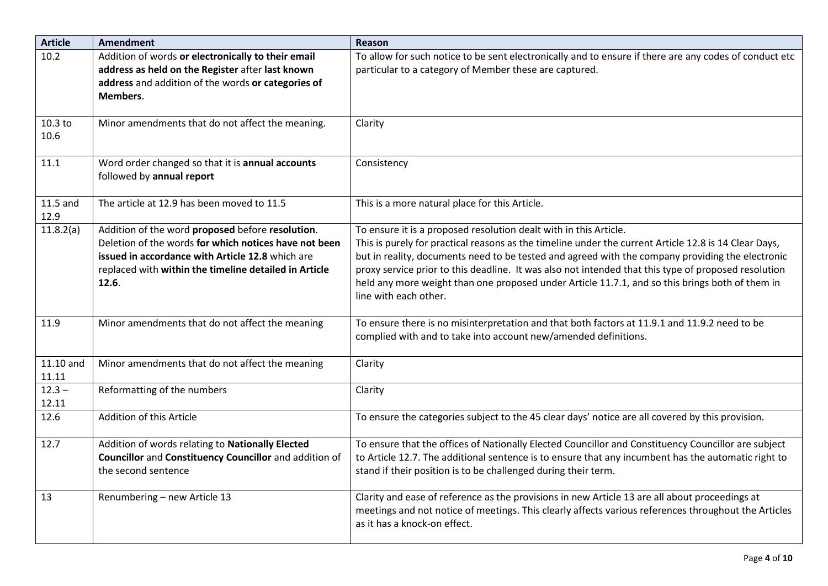| <b>Article</b>     | <b>Amendment</b>                                                                                                                                                                                                                | Reason                                                                                                                                                                                                                                                                                                                                                                                                                                                                                                             |
|--------------------|---------------------------------------------------------------------------------------------------------------------------------------------------------------------------------------------------------------------------------|--------------------------------------------------------------------------------------------------------------------------------------------------------------------------------------------------------------------------------------------------------------------------------------------------------------------------------------------------------------------------------------------------------------------------------------------------------------------------------------------------------------------|
| 10.2               | Addition of words or electronically to their email<br>address as held on the Register after last known<br>address and addition of the words or categories of<br>Members.                                                        | To allow for such notice to be sent electronically and to ensure if there are any codes of conduct etc<br>particular to a category of Member these are captured.                                                                                                                                                                                                                                                                                                                                                   |
| 10.3 to<br>10.6    | Minor amendments that do not affect the meaning.                                                                                                                                                                                | Clarity                                                                                                                                                                                                                                                                                                                                                                                                                                                                                                            |
| 11.1               | Word order changed so that it is annual accounts<br>followed by annual report                                                                                                                                                   | Consistency                                                                                                                                                                                                                                                                                                                                                                                                                                                                                                        |
| $11.5$ and<br>12.9 | The article at 12.9 has been moved to 11.5                                                                                                                                                                                      | This is a more natural place for this Article.                                                                                                                                                                                                                                                                                                                                                                                                                                                                     |
| 11.8.2(a)          | Addition of the word proposed before resolution.<br>Deletion of the words for which notices have not been<br>issued in accordance with Article 12.8 which are<br>replaced with within the timeline detailed in Article<br>12.6. | To ensure it is a proposed resolution dealt with in this Article.<br>This is purely for practical reasons as the timeline under the current Article 12.8 is 14 Clear Days,<br>but in reality, documents need to be tested and agreed with the company providing the electronic<br>proxy service prior to this deadline. It was also not intended that this type of proposed resolution<br>held any more weight than one proposed under Article 11.7.1, and so this brings both of them in<br>line with each other. |
| 11.9               | Minor amendments that do not affect the meaning                                                                                                                                                                                 | To ensure there is no misinterpretation and that both factors at 11.9.1 and 11.9.2 need to be<br>complied with and to take into account new/amended definitions.                                                                                                                                                                                                                                                                                                                                                   |
| 11.10 and<br>11.11 | Minor amendments that do not affect the meaning                                                                                                                                                                                 | Clarity                                                                                                                                                                                                                                                                                                                                                                                                                                                                                                            |
| $12.3 -$<br>12.11  | Reformatting of the numbers                                                                                                                                                                                                     | Clarity                                                                                                                                                                                                                                                                                                                                                                                                                                                                                                            |
| 12.6               | Addition of this Article                                                                                                                                                                                                        | To ensure the categories subject to the 45 clear days' notice are all covered by this provision.                                                                                                                                                                                                                                                                                                                                                                                                                   |
| 12.7               | Addition of words relating to Nationally Elected<br>Councillor and Constituency Councillor and addition of<br>the second sentence                                                                                               | To ensure that the offices of Nationally Elected Councillor and Constituency Councillor are subject<br>to Article 12.7. The additional sentence is to ensure that any incumbent has the automatic right to<br>stand if their position is to be challenged during their term.                                                                                                                                                                                                                                       |
| 13                 | Renumbering - new Article 13                                                                                                                                                                                                    | Clarity and ease of reference as the provisions in new Article 13 are all about proceedings at<br>meetings and not notice of meetings. This clearly affects various references throughout the Articles<br>as it has a knock-on effect.                                                                                                                                                                                                                                                                             |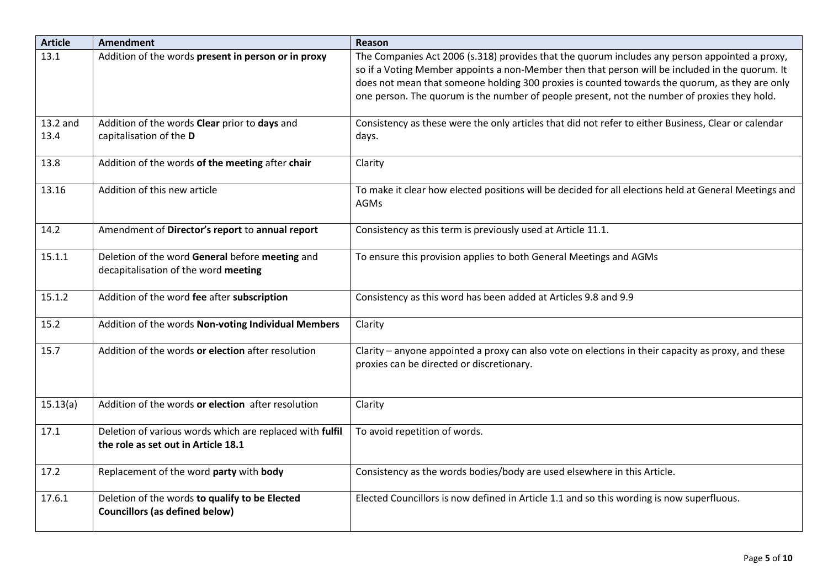| <b>Article</b>   | <b>Amendment</b>                                                                                | Reason                                                                                                                                                                                                                                                                                                                                                                                              |
|------------------|-------------------------------------------------------------------------------------------------|-----------------------------------------------------------------------------------------------------------------------------------------------------------------------------------------------------------------------------------------------------------------------------------------------------------------------------------------------------------------------------------------------------|
| 13.1             | Addition of the words present in person or in proxy                                             | The Companies Act 2006 (s.318) provides that the quorum includes any person appointed a proxy,<br>so if a Voting Member appoints a non-Member then that person will be included in the quorum. It<br>does not mean that someone holding 300 proxies is counted towards the quorum, as they are only<br>one person. The quorum is the number of people present, not the number of proxies they hold. |
| 13.2 and<br>13.4 | Addition of the words Clear prior to days and<br>capitalisation of the D                        | Consistency as these were the only articles that did not refer to either Business, Clear or calendar<br>days.                                                                                                                                                                                                                                                                                       |
| 13.8             | Addition of the words of the meeting after chair                                                | Clarity                                                                                                                                                                                                                                                                                                                                                                                             |
| 13.16            | Addition of this new article                                                                    | To make it clear how elected positions will be decided for all elections held at General Meetings and<br>AGMs                                                                                                                                                                                                                                                                                       |
| 14.2             | Amendment of Director's report to annual report                                                 | Consistency as this term is previously used at Article 11.1.                                                                                                                                                                                                                                                                                                                                        |
| 15.1.1           | Deletion of the word General before meeting and<br>decapitalisation of the word meeting         | To ensure this provision applies to both General Meetings and AGMs                                                                                                                                                                                                                                                                                                                                  |
| 15.1.2           | Addition of the word fee after subscription                                                     | Consistency as this word has been added at Articles 9.8 and 9.9                                                                                                                                                                                                                                                                                                                                     |
| 15.2             | Addition of the words Non-voting Individual Members                                             | Clarity                                                                                                                                                                                                                                                                                                                                                                                             |
| 15.7             | Addition of the words or election after resolution                                              | Clarity – anyone appointed a proxy can also vote on elections in their capacity as proxy, and these<br>proxies can be directed or discretionary.                                                                                                                                                                                                                                                    |
| 15.13(a)         | Addition of the words or election after resolution                                              | Clarity                                                                                                                                                                                                                                                                                                                                                                                             |
| 17.1             | Deletion of various words which are replaced with fulfil<br>the role as set out in Article 18.1 | To avoid repetition of words.                                                                                                                                                                                                                                                                                                                                                                       |
| 17.2             | Replacement of the word party with body                                                         | Consistency as the words bodies/body are used elsewhere in this Article.                                                                                                                                                                                                                                                                                                                            |
| 17.6.1           | Deletion of the words to qualify to be Elected<br><b>Councillors (as defined below)</b>         | Elected Councillors is now defined in Article 1.1 and so this wording is now superfluous.                                                                                                                                                                                                                                                                                                           |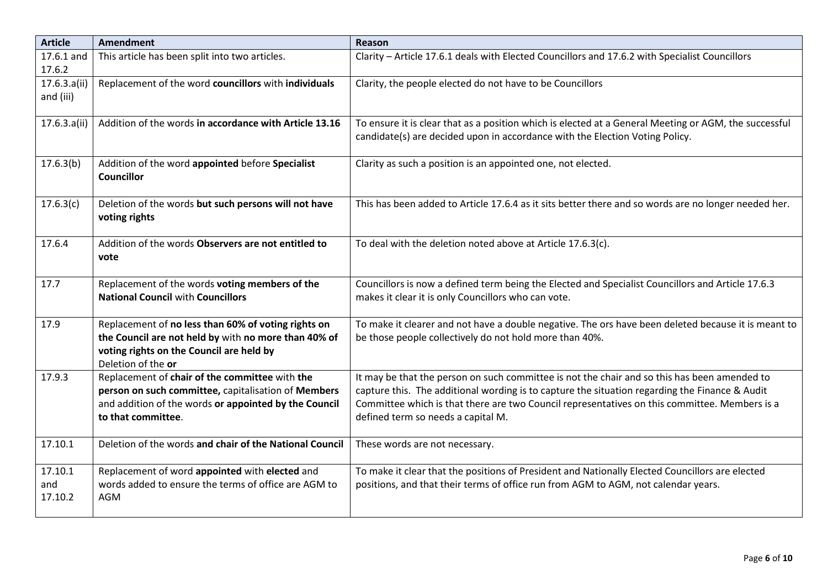| <b>Article</b> | Amendment                                                                   | Reason                                                                                                                                                                                |
|----------------|-----------------------------------------------------------------------------|---------------------------------------------------------------------------------------------------------------------------------------------------------------------------------------|
| 17.6.1 and     | This article has been split into two articles.                              | Clarity - Article 17.6.1 deals with Elected Councillors and 17.6.2 with Specialist Councillors                                                                                        |
| 17.6.2         |                                                                             |                                                                                                                                                                                       |
| 17.6.3.a(ii)   | Replacement of the word councillors with individuals                        | Clarity, the people elected do not have to be Councillors                                                                                                                             |
| and (iii)      |                                                                             |                                                                                                                                                                                       |
|                | Addition of the words in accordance with Article 13.16                      |                                                                                                                                                                                       |
| 17.6.3.a(ii)   |                                                                             | To ensure it is clear that as a position which is elected at a General Meeting or AGM, the successful<br>candidate(s) are decided upon in accordance with the Election Voting Policy. |
|                |                                                                             |                                                                                                                                                                                       |
| 17.6.3(b)      | Addition of the word appointed before Specialist                            | Clarity as such a position is an appointed one, not elected.                                                                                                                          |
|                | <b>Councillor</b>                                                           |                                                                                                                                                                                       |
|                |                                                                             |                                                                                                                                                                                       |
| 17.6.3(c)      | Deletion of the words but such persons will not have                        | This has been added to Article 17.6.4 as it sits better there and so words are no longer needed her.                                                                                  |
|                | voting rights                                                               |                                                                                                                                                                                       |
|                |                                                                             |                                                                                                                                                                                       |
| 17.6.4         | Addition of the words Observers are not entitled to                         | To deal with the deletion noted above at Article 17.6.3(c).                                                                                                                           |
|                | vote                                                                        |                                                                                                                                                                                       |
| 17.7           | Replacement of the words voting members of the                              | Councillors is now a defined term being the Elected and Specialist Councillors and Article 17.6.3                                                                                     |
|                | <b>National Council with Councillors</b>                                    | makes it clear it is only Councillors who can vote.                                                                                                                                   |
|                |                                                                             |                                                                                                                                                                                       |
| 17.9           | Replacement of no less than 60% of voting rights on                         | To make it clearer and not have a double negative. The ors have been deleted because it is meant to                                                                                   |
|                | the Council are not held by with no more than 40% of                        | be those people collectively do not hold more than 40%.                                                                                                                               |
|                | voting rights on the Council are held by                                    |                                                                                                                                                                                       |
|                | Deletion of the or                                                          |                                                                                                                                                                                       |
| 17.9.3         | Replacement of chair of the committee with the                              | It may be that the person on such committee is not the chair and so this has been amended to                                                                                          |
|                | person on such committee, capitalisation of Members                         | capture this. The additional wording is to capture the situation regarding the Finance & Audit                                                                                        |
|                | and addition of the words or appointed by the Council<br>to that committee. | Committee which is that there are two Council representatives on this committee. Members is a<br>defined term so needs a capital M.                                                   |
|                |                                                                             |                                                                                                                                                                                       |
| 17.10.1        | Deletion of the words and chair of the National Council                     | These words are not necessary.                                                                                                                                                        |
|                |                                                                             |                                                                                                                                                                                       |
| 17.10.1        | Replacement of word appointed with elected and                              | To make it clear that the positions of President and Nationally Elected Councillors are elected                                                                                       |
| and            | words added to ensure the terms of office are AGM to                        | positions, and that their terms of office run from AGM to AGM, not calendar years.                                                                                                    |
| 17.10.2        | AGM                                                                         |                                                                                                                                                                                       |
|                |                                                                             |                                                                                                                                                                                       |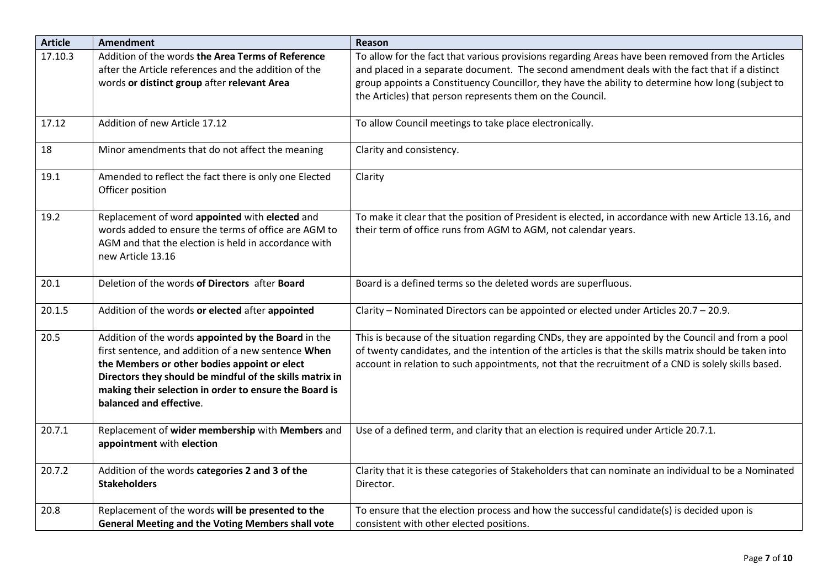| <b>Article</b> | <b>Amendment</b>                                                                                                                                                                                                                                                                                            | Reason                                                                                                                                                                                                                                                                                                                                                                |
|----------------|-------------------------------------------------------------------------------------------------------------------------------------------------------------------------------------------------------------------------------------------------------------------------------------------------------------|-----------------------------------------------------------------------------------------------------------------------------------------------------------------------------------------------------------------------------------------------------------------------------------------------------------------------------------------------------------------------|
| 17.10.3        | Addition of the words the Area Terms of Reference<br>after the Article references and the addition of the<br>words or distinct group after relevant Area                                                                                                                                                    | To allow for the fact that various provisions regarding Areas have been removed from the Articles<br>and placed in a separate document. The second amendment deals with the fact that if a distinct<br>group appoints a Constituency Councillor, they have the ability to determine how long (subject to<br>the Articles) that person represents them on the Council. |
| 17.12          | Addition of new Article 17.12                                                                                                                                                                                                                                                                               | To allow Council meetings to take place electronically.                                                                                                                                                                                                                                                                                                               |
| 18             | Minor amendments that do not affect the meaning                                                                                                                                                                                                                                                             | Clarity and consistency.                                                                                                                                                                                                                                                                                                                                              |
| 19.1           | Amended to reflect the fact there is only one Elected<br>Officer position                                                                                                                                                                                                                                   | Clarity                                                                                                                                                                                                                                                                                                                                                               |
| 19.2           | Replacement of word appointed with elected and<br>words added to ensure the terms of office are AGM to<br>AGM and that the election is held in accordance with<br>new Article 13.16                                                                                                                         | To make it clear that the position of President is elected, in accordance with new Article 13.16, and<br>their term of office runs from AGM to AGM, not calendar years.                                                                                                                                                                                               |
| 20.1           | Deletion of the words of Directors after Board                                                                                                                                                                                                                                                              | Board is a defined terms so the deleted words are superfluous.                                                                                                                                                                                                                                                                                                        |
| 20.1.5         | Addition of the words or elected after appointed                                                                                                                                                                                                                                                            | Clarity - Nominated Directors can be appointed or elected under Articles 20.7 - 20.9.                                                                                                                                                                                                                                                                                 |
| 20.5           | Addition of the words appointed by the Board in the<br>first sentence, and addition of a new sentence When<br>the Members or other bodies appoint or elect<br>Directors they should be mindful of the skills matrix in<br>making their selection in order to ensure the Board is<br>balanced and effective. | This is because of the situation regarding CNDs, they are appointed by the Council and from a pool<br>of twenty candidates, and the intention of the articles is that the skills matrix should be taken into<br>account in relation to such appointments, not that the recruitment of a CND is solely skills based.                                                   |
| 20.7.1         | Replacement of wider membership with Members and<br>appointment with election                                                                                                                                                                                                                               | Use of a defined term, and clarity that an election is required under Article 20.7.1.                                                                                                                                                                                                                                                                                 |
| 20.7.2         | Addition of the words categories 2 and 3 of the<br><b>Stakeholders</b>                                                                                                                                                                                                                                      | Clarity that it is these categories of Stakeholders that can nominate an individual to be a Nominated<br>Director.                                                                                                                                                                                                                                                    |
| 20.8           | Replacement of the words will be presented to the<br><b>General Meeting and the Voting Members shall vote</b>                                                                                                                                                                                               | To ensure that the election process and how the successful candidate(s) is decided upon is<br>consistent with other elected positions.                                                                                                                                                                                                                                |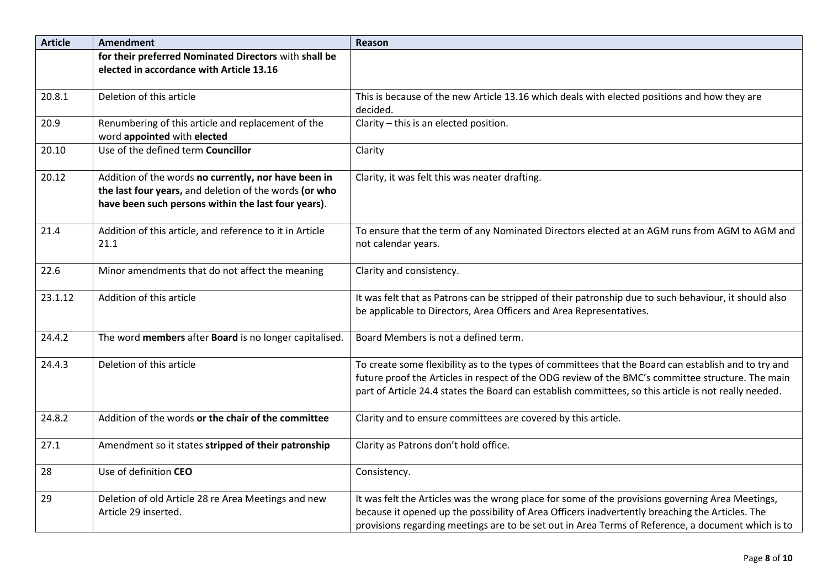| <b>Article</b> | <b>Amendment</b>                                                                                              | Reason                                                                                                |
|----------------|---------------------------------------------------------------------------------------------------------------|-------------------------------------------------------------------------------------------------------|
|                | for their preferred Nominated Directors with shall be                                                         |                                                                                                       |
|                | elected in accordance with Article 13.16                                                                      |                                                                                                       |
| 20.8.1         | Deletion of this article                                                                                      | This is because of the new Article 13.16 which deals with elected positions and how they are          |
|                |                                                                                                               | decided.                                                                                              |
| 20.9           | Renumbering of this article and replacement of the<br>word appointed with elected                             | Clarity - this is an elected position.                                                                |
| 20.10          | Use of the defined term Councillor                                                                            | Clarity                                                                                               |
| 20.12          | Addition of the words no currently, nor have been in                                                          | Clarity, it was felt this was neater drafting.                                                        |
|                | the last four years, and deletion of the words (or who<br>have been such persons within the last four years). |                                                                                                       |
|                |                                                                                                               |                                                                                                       |
| 21.4           | Addition of this article, and reference to it in Article                                                      | To ensure that the term of any Nominated Directors elected at an AGM runs from AGM to AGM and         |
|                | 21.1                                                                                                          | not calendar years.                                                                                   |
| 22.6           | Minor amendments that do not affect the meaning                                                               | Clarity and consistency.                                                                              |
|                |                                                                                                               |                                                                                                       |
| 23.1.12        | Addition of this article                                                                                      | It was felt that as Patrons can be stripped of their patronship due to such behaviour, it should also |
|                |                                                                                                               | be applicable to Directors, Area Officers and Area Representatives.                                   |
| 24.4.2         | The word members after Board is no longer capitalised.                                                        | Board Members is not a defined term.                                                                  |
| 24.4.3         | Deletion of this article                                                                                      | To create some flexibility as to the types of committees that the Board can establish and to try and  |
|                |                                                                                                               | future proof the Articles in respect of the ODG review of the BMC's committee structure. The main     |
|                |                                                                                                               | part of Article 24.4 states the Board can establish committees, so this article is not really needed. |
| 24.8.2         | Addition of the words or the chair of the committee                                                           | Clarity and to ensure committees are covered by this article.                                         |
| 27.1           | Amendment so it states stripped of their patronship                                                           | Clarity as Patrons don't hold office.                                                                 |
|                |                                                                                                               |                                                                                                       |
| 28             | Use of definition CEO                                                                                         | Consistency.                                                                                          |
| 29             | Deletion of old Article 28 re Area Meetings and new                                                           | It was felt the Articles was the wrong place for some of the provisions governing Area Meetings,      |
|                | Article 29 inserted.                                                                                          | because it opened up the possibility of Area Officers inadvertently breaching the Articles. The       |
|                |                                                                                                               | provisions regarding meetings are to be set out in Area Terms of Reference, a document which is to    |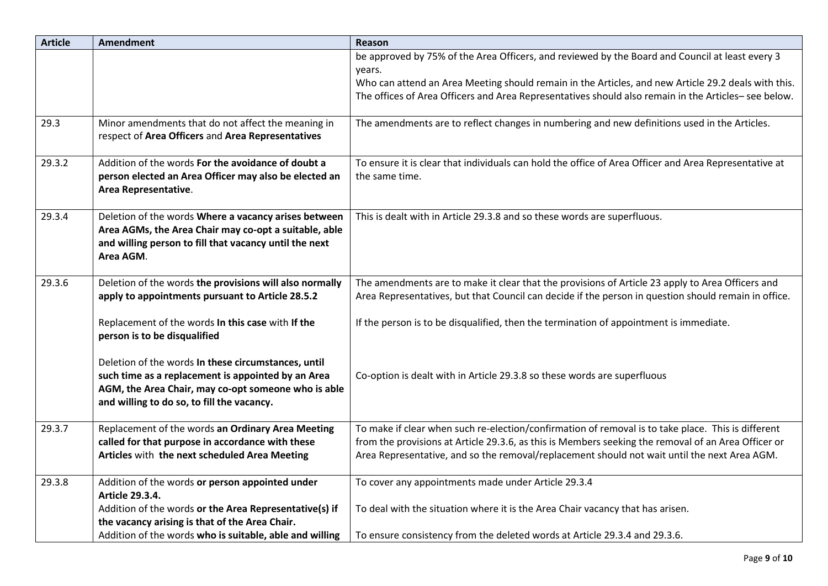| <b>Article</b> | <b>Amendment</b>                                                                                                                                                                                               | Reason                                                                                                                                                                                                                                                                                                    |
|----------------|----------------------------------------------------------------------------------------------------------------------------------------------------------------------------------------------------------------|-----------------------------------------------------------------------------------------------------------------------------------------------------------------------------------------------------------------------------------------------------------------------------------------------------------|
|                |                                                                                                                                                                                                                | be approved by 75% of the Area Officers, and reviewed by the Board and Council at least every 3<br>years.                                                                                                                                                                                                 |
|                |                                                                                                                                                                                                                | Who can attend an Area Meeting should remain in the Articles, and new Article 29.2 deals with this.<br>The offices of Area Officers and Area Representatives should also remain in the Articles-see below.                                                                                                |
| 29.3           | Minor amendments that do not affect the meaning in<br>respect of Area Officers and Area Representatives                                                                                                        | The amendments are to reflect changes in numbering and new definitions used in the Articles.                                                                                                                                                                                                              |
| 29.3.2         | Addition of the words For the avoidance of doubt a<br>person elected an Area Officer may also be elected an<br>Area Representative.                                                                            | To ensure it is clear that individuals can hold the office of Area Officer and Area Representative at<br>the same time.                                                                                                                                                                                   |
| 29.3.4         | Deletion of the words Where a vacancy arises between<br>Area AGMs, the Area Chair may co-opt a suitable, able<br>and willing person to fill that vacancy until the next<br>Area AGM.                           | This is dealt with in Article 29.3.8 and so these words are superfluous.                                                                                                                                                                                                                                  |
| 29.3.6         | Deletion of the words the provisions will also normally<br>apply to appointments pursuant to Article 28.5.2                                                                                                    | The amendments are to make it clear that the provisions of Article 23 apply to Area Officers and<br>Area Representatives, but that Council can decide if the person in question should remain in office.                                                                                                  |
|                | Replacement of the words In this case with If the<br>person is to be disqualified                                                                                                                              | If the person is to be disqualified, then the termination of appointment is immediate.                                                                                                                                                                                                                    |
|                | Deletion of the words In these circumstances, until<br>such time as a replacement is appointed by an Area<br>AGM, the Area Chair, may co-opt someone who is able<br>and willing to do so, to fill the vacancy. | Co-option is dealt with in Article 29.3.8 so these words are superfluous                                                                                                                                                                                                                                  |
| 29.3.7         | Replacement of the words an Ordinary Area Meeting<br>called for that purpose in accordance with these<br>Articles with the next scheduled Area Meeting                                                         | To make if clear when such re-election/confirmation of removal is to take place. This is different<br>from the provisions at Article 29.3.6, as this is Members seeking the removal of an Area Officer or<br>Area Representative, and so the removal/replacement should not wait until the next Area AGM. |
| 29.3.8         | Addition of the words or person appointed under                                                                                                                                                                | To cover any appointments made under Article 29.3.4                                                                                                                                                                                                                                                       |
|                | <b>Article 29.3.4.</b><br>Addition of the words or the Area Representative(s) if<br>the vacancy arising is that of the Area Chair.                                                                             | To deal with the situation where it is the Area Chair vacancy that has arisen.                                                                                                                                                                                                                            |
|                | Addition of the words who is suitable, able and willing                                                                                                                                                        | To ensure consistency from the deleted words at Article 29.3.4 and 29.3.6.                                                                                                                                                                                                                                |